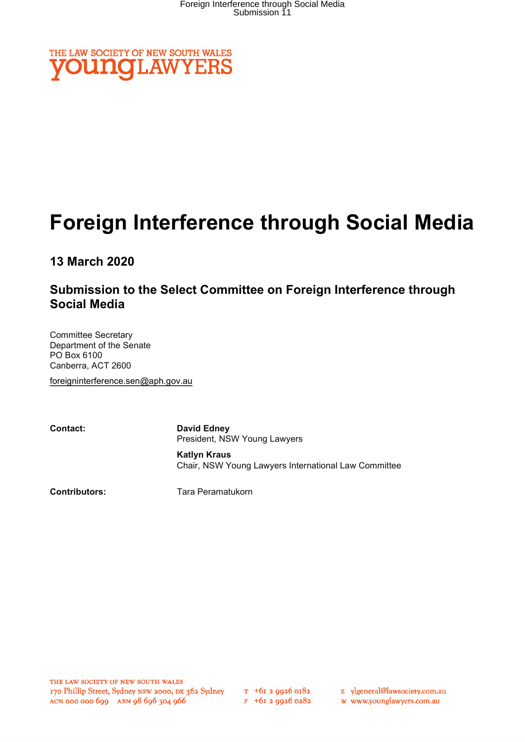

# Foreign Interference through Social Media

13 March 2020

# Submission to the Select Committee on Foreign Interference through Social Media

Committee Secretary Department of the Senate PO Box 6100 Canberra, ACT 2600 foreigninterference.sen@aph.gov.au

Contact: David Edney President, NSW Young Lawyers

> Katlyn Kraus Chair, NSW Young Lawyers International Law Committee

Contributors: Tara Peramatukorn

THE LAW SOCIETY OF NEW SOUTH WALES 170 Phillip Street, Sydney NSW 2000, ox 362 Sydney T +fo 2 9926 0182 ACN 000 000 *699* ABN 98 696 304 966

 $F + 6I$  2 9926 0282

E ylgeneral@lawsociety.com.au

w www.younglawyers.com.au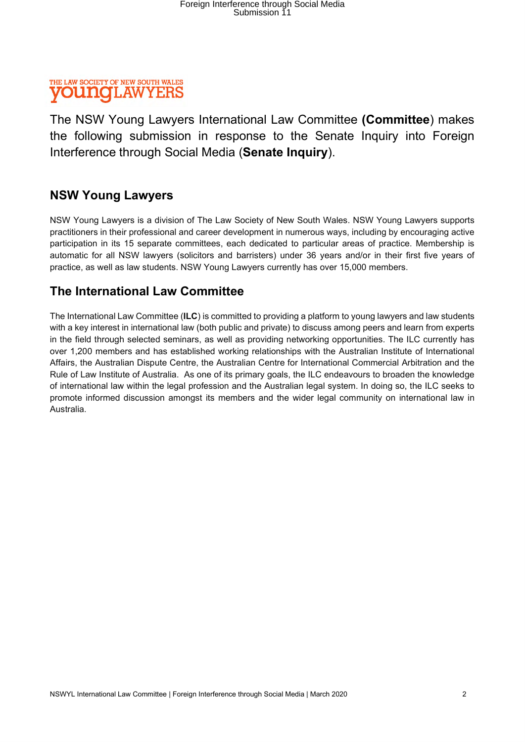### THE LAW SOCIETY OF NEW SOUTH WALES **young LAWYERS**

The NSW Young Lawyers International Law Committee (Committee) makes the following submission in response to the Senate Inquiry into Foreign Interference through Social Media (Senate Inquiry).

# NSW Young Lawyers

NSW Young Lawyers is a division of The Law Society of New South Wales. NSW Young Lawyers supports practitioners in their professional and career development in numerous ways, including by encouraging active participation in its 15 separate committees, each dedicated to particular areas of practice. Membership is automatic for all NSW lawyers (solicitors and barristers) under 36 years and/or in their first five years of practice, as well as law students. NSW Young Lawyers currently has over 15,000 members.

# The International Law Committee

The International Law Committee (ILC) is committed to providing a platform to young lawyers and law students with a key interest in international law (both public and private) to discuss among peers and learn from experts in the field through selected seminars, as well as providing networking opportunities. The ILC currently has over 1,200 members and has established working relationships with the Australian Institute of International Affairs, the Australian Dispute Centre, the Australian Centre for International Commercial Arbitration and the Rule of Law Institute of Australia. As one of its primary goals, the ILC endeavours to broaden the knowledge of international law within the legal profession and the Australian legal system. In doing so, the ILC seeks to promote informed discussion amongst its members and the wider legal community on international law in Australia.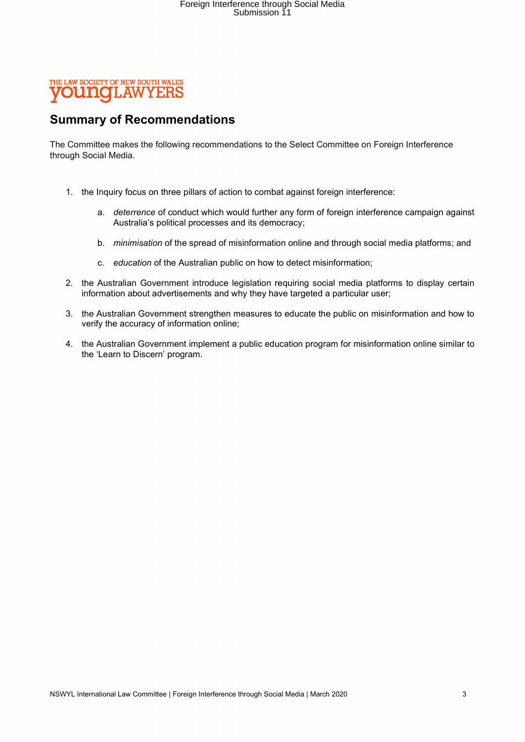

# Summary of Recommendations

The Committee makes the following recommendations to the Select Committee on Foreign Interference through Social Media.

- 1. the Inquiry focus on three pillars of action to combat against foreign interference:
	- a. deterrence of conduct which would further any form of foreign interference campaign against Australia's political processes and its democracy;
	- b. minimisation of the spread of misinformation online and through social media platforms; and
	- c. education of the Australian public on how to detect misinformation;
- 2. the Australian Government introduce legislation requiring social media platforms to display certain information about advertisements and why they have targeted a particular user;
- 3. the Australian Government strengthen measures to educate the public on misinformation and how to verify the accuracy of information online;
- 4. the Australian Government implement a public education program for misinformation online similar to the 'Learn to Discern' program.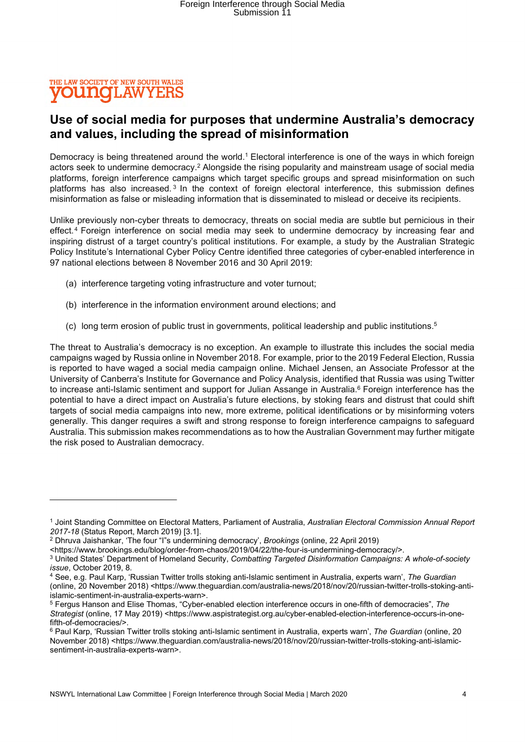

### Use of social media for purposes that undermine Australia's democracy and values, including the spread of misinformation

Democracy is being threatened around the world.<sup>1</sup> Electoral interference is one of the ways in which foreign actors seek to undermine democracy.<sup>2</sup> Alongside the rising popularity and mainstream usage of social media platforms, foreign interference campaigns which target specific groups and spread misinformation on such platforms has also increased.<sup>3</sup> In the context of foreign electoral interference, this submission defines misinformation as false or misleading information that is disseminated to mislead or deceive its recipients.

Unlike previously non-cyber threats to democracy, threats on social media are subtle but pernicious in their effect.<sup>4</sup> Foreign interference on social media may seek to undermine democracy by increasing fear and inspiring distrust of a target country's political institutions. For example, a study by the Australian Strategic Policy Institute's International Cyber Policy Centre identified three categories of cyber-enabled interference in 97 national elections between 8 November 2016 and 30 April 2019:

- (a) interference targeting voting infrastructure and voter turnout;
- (b) interference in the information environment around elections; and
- (c) long term erosion of public trust in governments, political leadership and public institutions.<sup>5</sup>

The threat to Australia's democracy is no exception. An example to illustrate this includes the social media campaigns waged by Russia online in November 2018. For example, prior to the 2019 Federal Election, Russia is reported to have waged a social media campaign online. Michael Jensen, an Associate Professor at the University of Canberra's Institute for Governance and Policy Analysis, identified that Russia was using Twitter to increase anti-Islamic sentiment and support for Julian Assange in Australia.<sup>6</sup> Foreign interference has the potential to have a direct impact on Australia's future elections, by stoking fears and distrust that could shift targets of social media campaigns into new, more extreme, political identifications or by misinforming voters generally. This danger requires a swift and strong response to foreign interference campaigns to safeguard Australia. This submission makes recommendations as to how the Australian Government may further mitigate the risk posed to Australian democracy.

<sup>&</sup>lt;sup>1</sup> Joint Standing Committee on Electoral Matters, Parliament of Australia, Australian Electoral Commission Annual Report 2017-18 (Status Report, March 2019) [3.1].

<sup>&</sup>lt;sup>2</sup> Dhruva Jaishankar, 'The four "I"s undermining democracy', *Brookings* (online, 22 April 2019)

<sup>&</sup>lt;https://www.brookings.edu/blog/order-from-chaos/2019/04/22/the-four-is-undermining-democracy/>.

<sup>&</sup>lt;sup>3</sup> United States' Department of Homeland Security, Combatting Targeted Disinformation Campaigns: A whole-of-society issue, October 2019, 8.

<sup>&</sup>lt;sup>4</sup> See, e.g. Paul Karp, 'Russian Twitter trolls stoking anti-Islamic sentiment in Australia, experts warn', *The Guardian* (online, 20 November 2018) <https://www.theguardian.com/australia-news/2018/nov/20/russian-twitter-trolls-stoking-antiislamic-sentiment-in-australia-experts-warn>.

<sup>&</sup>lt;sup>5</sup> Fergus Hanson and Elise Thomas, "Cyber-enabled election interference occurs in one-fifth of democracies", The Strategist (online, 17 May 2019) <https://www.aspistrategist.org.au/cyber-enabled-election-interference-occurs-in-onefifth-of-democracies/>.

<sup>&</sup>lt;sup>6</sup> Paul Karp, 'Russian Twitter trolls stoking anti-Islamic sentiment in Australia, experts warn', *The Guardian* (online, 20 November 2018) <https://www.theguardian.com/australia-news/2018/nov/20/russian-twitter-trolls-stoking-anti-islamicsentiment-in-australia-experts-warn>.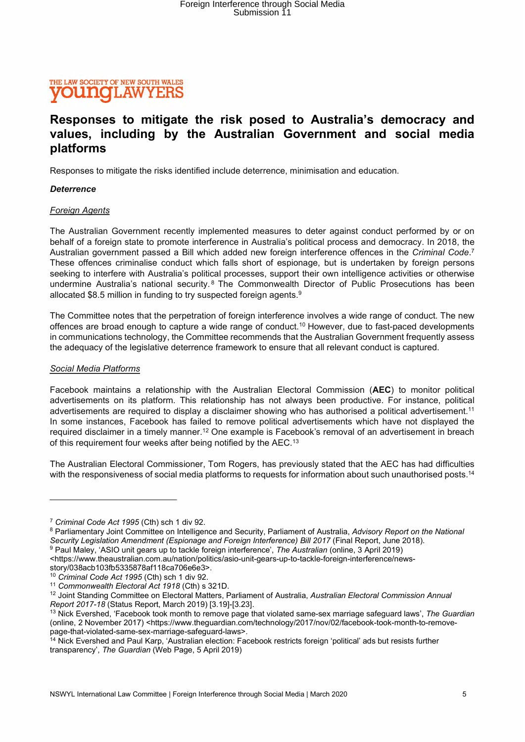### THE LAW SOCIETY OF NEW SOUTH WALES **young LAWYERS**

### Responses to mitigate the risk posed to Australia's democracy and values, including by the Australian Government and social media platforms

Responses to mitigate the risks identified include deterrence, minimisation and education.

#### **Deterrence**

#### **Foreign Agents**

The Australian Government recently implemented measures to deter against conduct performed by or on behalf of a foreign state to promote interference in Australia's political process and democracy. In 2018, the Australian government passed a Bill which added new foreign interference offences in the Criminal Code.<sup>7</sup> These offences criminalise conduct which falls short of espionage, but is undertaken by foreign persons seeking to interfere with Australia's political processes, support their own intelligence activities or otherwise undermine Australia's national security.<sup>8</sup> The Commonwealth Director of Public Prosecutions has been allocated \$8.5 million in funding to try suspected foreign agents.<sup>9</sup>

The Committee notes that the perpetration of foreign interference involves a wide range of conduct. The new offences are broad enough to capture a wide range of conduct.<sup>10</sup> However, due to fast-paced developments in communications technology, the Committee recommends that the Australian Government frequently assess the adequacy of the legislative deterrence framework to ensure that all relevant conduct is captured.

#### Social Media Platforms

Facebook maintains a relationship with the Australian Electoral Commission (AEC) to monitor political advertisements on its platform. This relationship has not always been productive. For instance, political advertisements are required to display a disclaimer showing who has authorised a political advertisement.<sup>11</sup> In some instances, Facebook has failed to remove political advertisements which have not displayed the required disclaimer in a timely manner.<sup>12</sup> One example is Facebook's removal of an advertisement in breach of this requirement four weeks after being notified by the AEC.<sup>13</sup>

The Australian Electoral Commissioner, Tom Rogers, has previously stated that the AEC has had difficulties with the responsiveness of social media platforms to requests for information about such unauthorised posts.<sup>14</sup>

<sup>7</sup> Criminal Code Act 1995 (Cth) sch 1 div 92.

<sup>&</sup>lt;sup>8</sup> Parliamentary Joint Committee on Intelligence and Security, Parliament of Australia, Advisory Report on the National Security Legislation Amendment (Espionage and Foreign Interference) Bill 2017 (Final Report, June 2018).

<sup>&</sup>lt;sup>9</sup> Paul Maley, 'ASIO unit gears up to tackle foreign interference', The Australian (online, 3 April 2019) <https://www.theaustralian.com.au/nation/politics/asio-unit-gears-up-to-tackle-foreign-interference/newsstory/038acb103fb5335878af118ca706e6e3>.

<sup>&</sup>lt;sup>10</sup> Criminal Code Act 1995 (Cth) sch 1 div 92.

<sup>11</sup> Commonwealth Electoral Act 1918 (Cth) s 321D.

<sup>&</sup>lt;sup>12</sup> Joint Standing Committee on Electoral Matters, Parliament of Australia, Australian Electoral Commission Annual Report 2017-18 (Status Report, March 2019) [3.19]-[3.23].

<sup>&</sup>lt;sup>13</sup> Nick Evershed, 'Facebook took month to remove page that violated same-sex marriage safeguard laws'. The Guardian (online, 2 November 2017) <https://www.theguardian.com/technology/2017/nov/02/facebook-took-month-to-removepage-that-violated-same-sex-marriage-safeguard-laws>.

<sup>&</sup>lt;sup>14</sup> Nick Evershed and Paul Karp, 'Australian election: Facebook restricts foreign 'political' ads but resists further transparency', The Guardian (Web Page, 5 April 2019)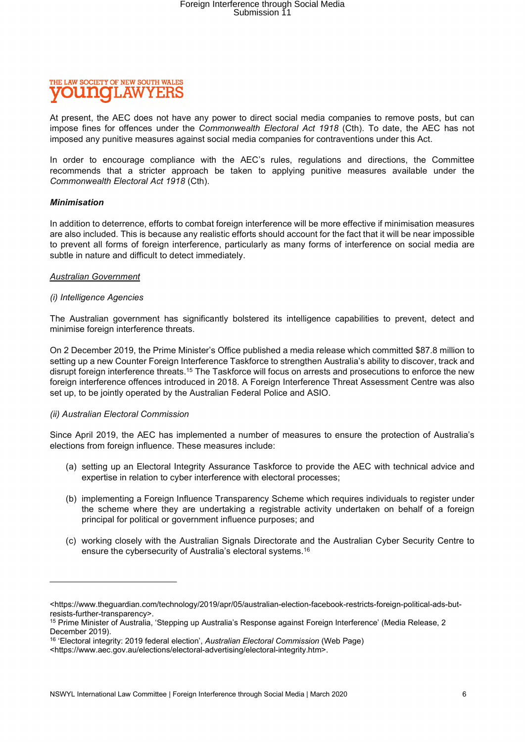

At present, the AEC does not have any power to direct social media companies to remove posts, but can impose fines for offences under the Commonwealth Electoral Act 1918 (Cth). To date, the AEC has not imposed any punitive measures against social media companies for contraventions under this Act.

In order to encourage compliance with the AEC's rules, regulations and directions, the Committee recommends that a stricter approach be taken to applying punitive measures available under the Commonwealth Electoral Act 1918 (Cth).

#### Minimisation

In addition to deterrence, efforts to combat foreign interference will be more effective if minimisation measures are also included. This is because any realistic efforts should account for the fact that it will be near impossible to prevent all forms of foreign interference, particularly as many forms of interference on social media are subtle in nature and difficult to detect immediately.

#### Australian Government

#### (i) Intelligence Agencies

The Australian government has significantly bolstered its intelligence capabilities to prevent, detect and minimise foreign interference threats.

On 2 December 2019, the Prime Minister's Office published a media release which committed \$87.8 million to setting up a new Counter Foreign Interference Taskforce to strengthen Australia's ability to discover, track and disrupt foreign interference threats.<sup>15</sup> The Taskforce will focus on arrests and prosecutions to enforce the new foreign interference offences introduced in 2018. A Foreign Interference Threat Assessment Centre was also set up, to be jointly operated by the Australian Federal Police and ASIO.

#### (ii) Australian Electoral Commission

Since April 2019, the AEC has implemented a number of measures to ensure the protection of Australia's elections from foreign influence. These measures include:

- (a) setting up an Electoral Integrity Assurance Taskforce to provide the AEC with technical advice and expertise in relation to cyber interference with electoral processes;
- (b) implementing a Foreign Influence Transparency Scheme which requires individuals to register under the scheme where they are undertaking a registrable activity undertaken on behalf of a foreign principal for political or government influence purposes; and
- (c) working closely with the Australian Signals Directorate and the Australian Cyber Security Centre to ensure the cybersecurity of Australia's electoral systems.<sup>16</sup>

<sup>&</sup>lt;https://www.theguardian.com/technology/2019/apr/05/australian-election-facebook-restricts-foreign-political-ads-butresists-further-transparency>.

<sup>15</sup> Prime Minister of Australia, 'Stepping up Australia's Response against Foreign Interference' (Media Release, 2 December 2019).

<sup>&</sup>lt;sup>16</sup> 'Electoral integrity: 2019 federal election', Australian Electoral Commission (Web Page)

<sup>&</sup>lt;https://www.aec.gov.au/elections/electoral-advertising/electoral-integrity.htm>.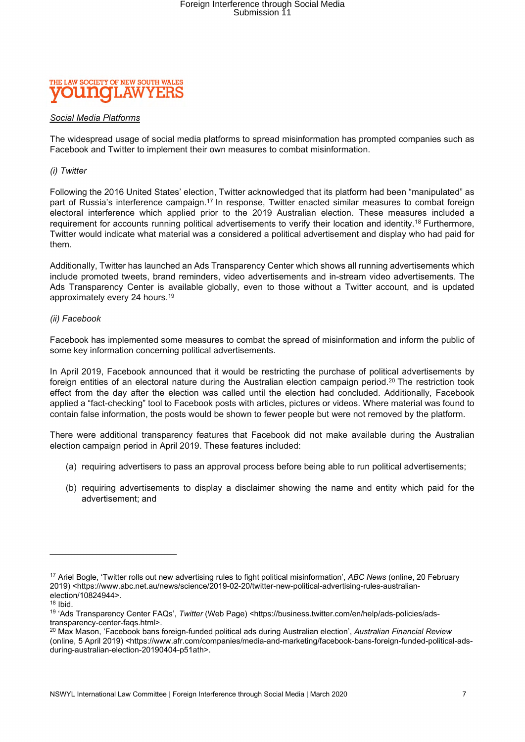

#### Social Media Platforms

The widespread usage of social media platforms to spread misinformation has prompted companies such as Facebook and Twitter to implement their own measures to combat misinformation.

#### (i) Twitter

Following the 2016 United States' election, Twitter acknowledged that its platform had been "manipulated" as part of Russia's interference campaign.<sup>17</sup> In response, Twitter enacted similar measures to combat foreign electoral interference which applied prior to the 2019 Australian election. These measures included a requirement for accounts running political advertisements to verify their location and identity.<sup>18</sup> Furthermore, Twitter would indicate what material was a considered a political advertisement and display who had paid for them.

Additionally, Twitter has launched an Ads Transparency Center which shows all running advertisements which include promoted tweets, brand reminders, video advertisements and in-stream video advertisements. The Ads Transparency Center is available globally, even to those without a Twitter account, and is updated approximately every 24 hours.<sup>19</sup>

#### (ii) Facebook

Facebook has implemented some measures to combat the spread of misinformation and inform the public of some key information concerning political advertisements.

In April 2019, Facebook announced that it would be restricting the purchase of political advertisements by foreign entities of an electoral nature during the Australian election campaign period.<sup>20</sup> The restriction took effect from the day after the election was called until the election had concluded. Additionally, Facebook applied a "fact-checking" tool to Facebook posts with articles, pictures or videos. Where material was found to contain false information, the posts would be shown to fewer people but were not removed by the platform.

There were additional transparency features that Facebook did not make available during the Australian election campaign period in April 2019. These features included:

- (a) requiring advertisers to pass an approval process before being able to run political advertisements;
- (b) requiring advertisements to display a disclaimer showing the name and entity which paid for the advertisement; and

<sup>&</sup>lt;sup>17</sup> Ariel Bogle, 'Twitter rolls out new advertising rules to fight political misinformation', ABC News (online, 20 February 2019) <https://www.abc.net.au/news/science/2019-02-20/twitter-new-political-advertising-rules-australianelection/10824944>.

 $18$  Ibid.

<sup>&</sup>lt;sup>19</sup> 'Ads Transparency Center FAQs', Twitter (Web Page) <https://business.twitter.com/en/help/ads-policies/adstransparency-center-faqs.html>.

<sup>&</sup>lt;sup>20</sup> Max Mason, 'Facebook bans foreign-funded political ads during Australian election', Australian Financial Review (online, 5 April 2019) <https://www.afr.com/companies/media-and-marketing/facebook-bans-foreign-funded-political-adsduring-australian-election-20190404-p51ath>.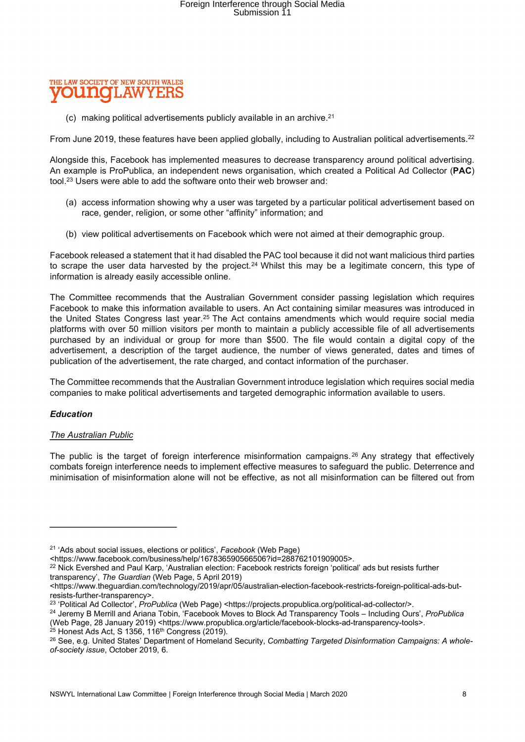

(c) making political advertisements publicly available in an archive.<sup>21</sup>

From June 2019, these features have been applied globally, including to Australian political advertisements.<sup>22</sup>

Alongside this, Facebook has implemented measures to decrease transparency around political advertising. An example is ProPublica, an independent news organisation, which created a Political Ad Collector (PAC) tool.<sup>23</sup> Users were able to add the software onto their web browser and:

- (a) access information showing why a user was targeted by a particular political advertisement based on race, gender, religion, or some other "affinity" information; and
- (b) view political advertisements on Facebook which were not aimed at their demographic group.

Facebook released a statement that it had disabled the PAC tool because it did not want malicious third parties to scrape the user data harvested by the project.<sup>24</sup> Whilst this may be a legitimate concern, this type of information is already easily accessible online.

The Committee recommends that the Australian Government consider passing legislation which requires Facebook to make this information available to users. An Act containing similar measures was introduced in the United States Congress last year.<sup>25</sup> The Act contains amendments which would require social media platforms with over 50 million visitors per month to maintain a publicly accessible file of all advertisements purchased by an individual or group for more than \$500. The file would contain a digital copy of the advertisement, a description of the target audience, the number of views generated, dates and times of publication of the advertisement, the rate charged, and contact information of the purchaser.

The Committee recommends that the Australian Government introduce legislation which requires social media companies to make political advertisements and targeted demographic information available to users.

#### Education

#### The Australian Public

The public is the target of foreign interference misinformation campaigns.<sup>26</sup> Any strategy that effectively combats foreign interference needs to implement effective measures to safeguard the public. Deterrence and minimisation of misinformation alone will not be effective, as not all misinformation can be filtered out from

<sup>&</sup>lt;sup>21</sup> 'Ads about social issues, elections or politics', Facebook (Web Page)

<sup>&</sup>lt;https://www.facebook.com/business/help/167836590566506?id=288762101909005>.

<sup>&</sup>lt;sup>22</sup> Nick Evershed and Paul Karp, 'Australian election: Facebook restricts foreign 'political' ads but resists further transparency', The Guardian (Web Page, 5 April 2019)

<sup>&</sup>lt;https://www.theguardian.com/technology/2019/apr/05/australian-election-facebook-restricts-foreign-political-ads-butresists-further-transparency>.

<sup>&</sup>lt;sup>23</sup> 'Political Ad Collector', *ProPublica* (Web Page) <https://projects.propublica.org/political-ad-collector/>.

<sup>&</sup>lt;sup>24</sup> Jeremy B Merrill and Ariana Tobin, 'Facebook Moves to Block Ad Transparency Tools – Including Ours', ProPublica (Web Page, 28 January 2019) <https://www.propublica.org/article/facebook-blocks-ad-transparency-tools>.  $25$  Honest Ads Act, S 1356, 116<sup>th</sup> Congress (2019).

<sup>&</sup>lt;sup>26</sup> See, e.g. United States' Department of Homeland Security, Combatting Targeted Disinformation Campaigns: A wholeof-society issue, October 2019, 6.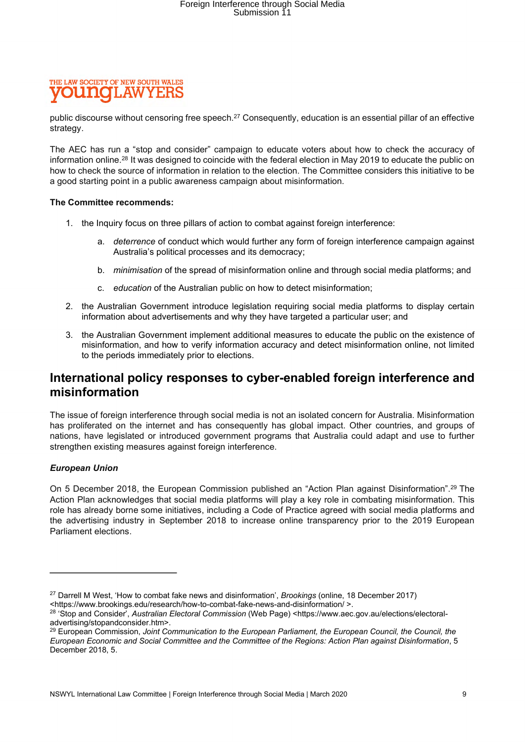

public discourse without censoring free speech.<sup>27</sup> Consequently, education is an essential pillar of an effective strategy.

The AEC has run a "stop and consider" campaign to educate voters about how to check the accuracy of information online.<sup>28</sup> It was designed to coincide with the federal election in May 2019 to educate the public on how to check the source of information in relation to the election. The Committee considers this initiative to be a good starting point in a public awareness campaign about misinformation.

#### The Committee recommends:

- 1. the Inquiry focus on three pillars of action to combat against foreign interference:
	- a. deterrence of conduct which would further any form of foreign interference campaign against Australia's political processes and its democracy;
	- b. minimisation of the spread of misinformation online and through social media platforms; and
	- c. education of the Australian public on how to detect misinformation;
- 2. the Australian Government introduce legislation requiring social media platforms to display certain information about advertisements and why they have targeted a particular user; and
- 3. the Australian Government implement additional measures to educate the public on the existence of misinformation, and how to verify information accuracy and detect misinformation online, not limited to the periods immediately prior to elections.

### International policy responses to cyber-enabled foreign interference and misinformation

The issue of foreign interference through social media is not an isolated concern for Australia. Misinformation has proliferated on the internet and has consequently has global impact. Other countries, and groups of nations, have legislated or introduced government programs that Australia could adapt and use to further strengthen existing measures against foreign interference.

#### European Union

On 5 December 2018, the European Commission published an "Action Plan against Disinformation".<sup>29</sup> The Action Plan acknowledges that social media platforms will play a key role in combating misinformation. This role has already borne some initiatives, including a Code of Practice agreed with social media platforms and the advertising industry in September 2018 to increase online transparency prior to the 2019 European Parliament elections.

<sup>&</sup>lt;sup>27</sup> Darrell M West, 'How to combat fake news and disinformation', *Brookings* (online, 18 December 2017) <https://www.brookings.edu/research/how-to-combat-fake-news-and-disinformation/ >.

<sup>&</sup>lt;sup>28</sup> 'Stop and Consider', Australian Electoral Commission (Web Page) <https://www.aec.gov.au/elections/electoraladvertising/stopandconsider.htm>.

<sup>&</sup>lt;sup>29</sup> European Commission, Joint Communication to the European Parliament, the European Council, the Council, the European Economic and Social Committee and the Committee of the Regions: Action Plan against Disinformation, 5 December 2018, 5.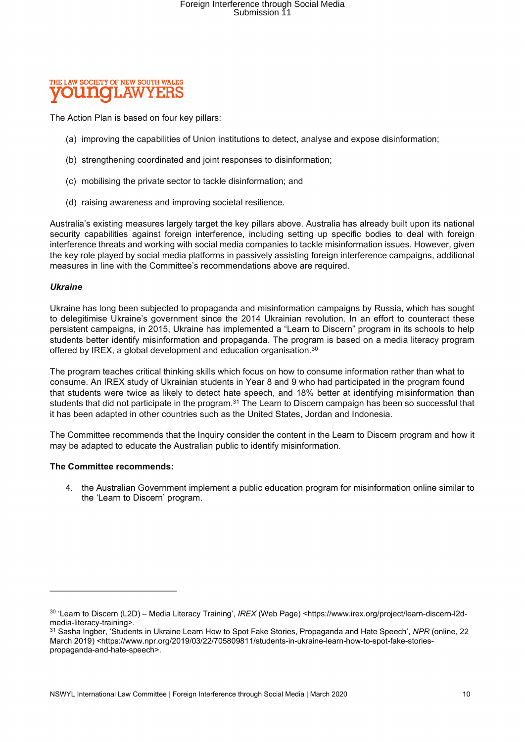

The Action Plan is based on four key pillars:

- (a) improving the capabilities of Union institutions to detect, analyse and expose disinformation;
- (b) strengthening coordinated and joint responses to disinformation;
- (c) mobilising the private sector to tackle disinformation; and
- (d) raising awareness and improving societal resilience.

Australia's existing measures largely target the key pillars above. Australia has already built upon its national security capabilities against foreign interference, including setting up specific bodies to deal with foreign interference threats and working with social media companies to tackle misinformation issues. However, given the key role played by social media platforms in passively assisting foreign interference campaigns, additional measures in line with the Committee's recommendations above are required.

#### Ukraine

Ukraine has long been subjected to propaganda and misinformation campaigns by Russia, which has sought to delegitimise Ukraine's government since the 2014 Ukrainian revolution. In an effort to counteract these persistent campaigns, in 2015, Ukraine has implemented a "Learn to Discern" program in its schools to help students better identify misinformation and propaganda. The program is based on a media literacy program offered by IREX, a global development and education organisation.<sup>30</sup>

The program teaches critical thinking skills which focus on how to consume information rather than what to consume. An IREX study of Ukrainian students in Year 8 and 9 who had participated in the program found that students were twice as likely to detect hate speech, and 18% better at identifying misinformation than students that did not participate in the program.<sup>31</sup> The Learn to Discern campaign has been so successful that it has been adapted in other countries such as the United States, Jordan and Indonesia.

The Committee recommends that the Inquiry consider the content in the Learn to Discern program and how it may be adapted to educate the Australian public to identify misinformation.

#### The Committee recommends:

4. the Australian Government implement a public education program for misinformation online similar to the 'Learn to Discern' program.

<sup>30 &#</sup>x27;Learn to Discern (L2D) – Media Literacy Training', IREX (Web Page) <https://www.irex.org/project/learn-discern-l2dmedia-literacy-training>.

<sup>31</sup> Sasha Ingber, 'Students in Ukraine Learn How to Spot Fake Stories, Propaganda and Hate Speech', NPR (online, 22 March 2019) <https://www.npr.org/2019/03/22/705809811/students-in-ukraine-learn-how-to-spot-fake-storiespropaganda-and-hate-speech>.